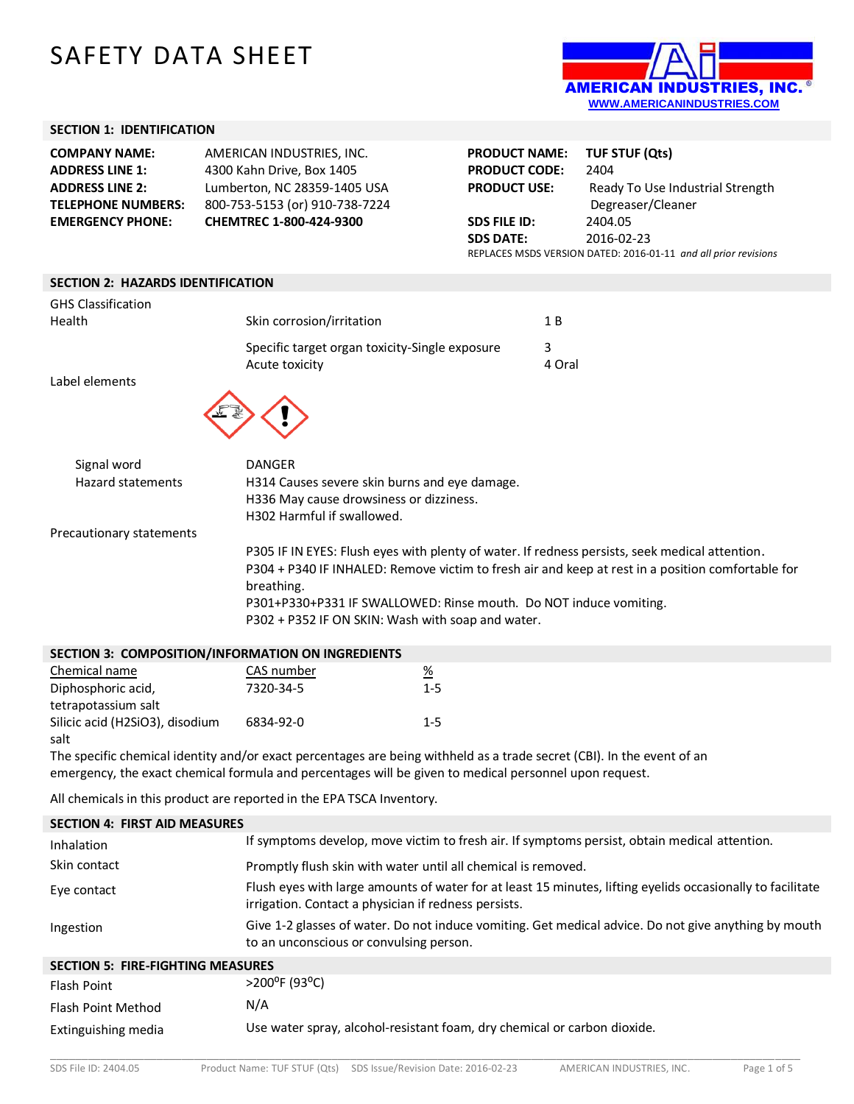# SAFETY DATA SHEET



# **SECTION 1: IDENTIFICATION**

| <b>COMPANY NAME:</b>      | AMERICAN INDUSTRIES, INC.      | <b>PRODUCT NAME:</b> | <b>TUF STUF (Ots)</b>                                           |
|---------------------------|--------------------------------|----------------------|-----------------------------------------------------------------|
| <b>ADDRESS LINE 1:</b>    | 4300 Kahn Drive, Box 1405      | <b>PRODUCT CODE:</b> | 2404                                                            |
| <b>ADDRESS LINE 2:</b>    | Lumberton, NC 28359-1405 USA   | <b>PRODUCT USE:</b>  | Ready To Use Industrial Strength                                |
| <b>TELEPHONE NUMBERS:</b> | 800-753-5153 (or) 910-738-7224 |                      | Degreaser/Cleaner                                               |
| <b>EMERGENCY PHONE:</b>   | <b>CHEMTREC 1-800-424-9300</b> | SDS FILE ID:         | 2404.05                                                         |
|                           |                                | <b>SDS DATE:</b>     | 2016-02-23                                                      |
|                           |                                |                      | REPLACES MSDS VERSION DATED: 2016-01-11 and all prior revisions |

### **SECTION 2: HAZARDS IDENTIFICATION**

| <b>GHS Classification</b>        |                                                                                                |                                                                                                   |
|----------------------------------|------------------------------------------------------------------------------------------------|---------------------------------------------------------------------------------------------------|
| Health                           | Skin corrosion/irritation                                                                      | 1B                                                                                                |
|                                  | Specific target organ toxicity-Single exposure                                                 | 3                                                                                                 |
|                                  | Acute toxicity                                                                                 | 4 Oral                                                                                            |
| Label elements                   |                                                                                                |                                                                                                   |
| Signal word<br>Hazard statements | <b>DANGER</b><br>H314 Causes severe skin burns and eye damage.                                 |                                                                                                   |
|                                  | H336 May cause drowsiness or dizziness.                                                        |                                                                                                   |
|                                  | H302 Harmful if swallowed.                                                                     |                                                                                                   |
| Precautionary statements         |                                                                                                |                                                                                                   |
|                                  | P305 IF IN EYES: Flush eyes with plenty of water. If redness persists, seek medical attention. |                                                                                                   |
|                                  | breathing.                                                                                     | P304 + P340 IF INHALED: Remove victim to fresh air and keep at rest in a position comfortable for |
|                                  | P301+P330+P331 IF SWALLOWED: Rinse mouth. Do NOT induce vomiting.                              |                                                                                                   |
|                                  | P302 + P352 IF ON SKIN: Wash with soap and water.                                              |                                                                                                   |
|                                  |                                                                                                |                                                                                                   |

| SECTION 3: COMPOSITION/INFORMATION ON INGREDIENTS |            |         |
|---------------------------------------------------|------------|---------|
| Chemical name                                     | CAS number | %       |
| Diphosphoric acid,                                | 7320-34-5  | $1 - 5$ |
| tetrapotassium salt                               |            |         |
| Silicic acid (H2SiO3), disodium                   | 6834-92-0  | $1 - 5$ |
| salt                                              |            |         |

The specific chemical identity and/or exact percentages are being withheld as a trade secret (CBI). In the event of an emergency, the exact chemical formula and percentages will be given to medical personnel upon request.

All chemicals in this product are reported in the EPA TSCA Inventory.

| <b>SECTION 4: FIRST AID MEASURES</b>     |                                                                                                                                                                    |
|------------------------------------------|--------------------------------------------------------------------------------------------------------------------------------------------------------------------|
| Inhalation                               | If symptoms develop, move victim to fresh air. If symptoms persist, obtain medical attention.                                                                      |
| Skin contact                             | Promptly flush skin with water until all chemical is removed.                                                                                                      |
| Eye contact                              | Flush eyes with large amounts of water for at least 15 minutes, lifting eyelids occasionally to facilitate<br>irrigation. Contact a physician if redness persists. |
| Ingestion                                | Give 1-2 glasses of water. Do not induce vomiting. Get medical advice. Do not give anything by mouth<br>to an unconscious or convulsing person.                    |
| <b>SECTION 5: FIRE-FIGHTING MEASURES</b> |                                                                                                                                                                    |
| Flash Point                              | >200°F (93°C)                                                                                                                                                      |
| Flash Point Method                       | N/A                                                                                                                                                                |
| Extinguishing media                      | Use water spray, alcohol-resistant foam, dry chemical or carbon dioxide.                                                                                           |

\_\_\_\_\_\_\_\_\_\_\_\_\_\_\_\_\_\_\_\_\_\_\_\_\_\_\_\_\_\_\_\_\_\_\_\_\_\_\_\_\_\_\_\_\_\_\_\_\_\_\_\_\_\_\_\_\_\_\_\_\_\_\_\_\_\_\_\_\_\_\_\_\_\_\_\_\_\_\_\_\_\_\_\_\_\_\_\_\_\_\_\_\_\_\_\_\_\_\_\_\_\_\_\_\_\_\_\_\_\_\_\_\_\_\_\_\_\_\_\_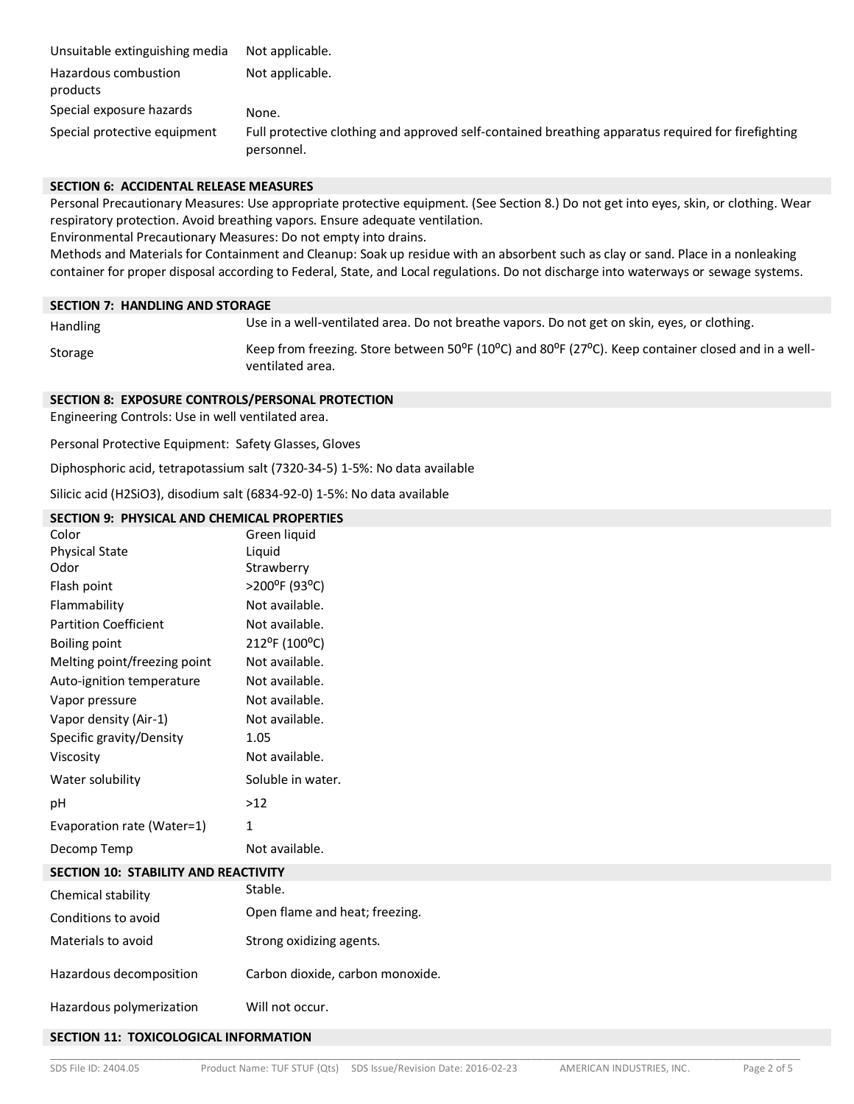| Unsuitable extinguishing media   | Not applicable.                                                                                                  |
|----------------------------------|------------------------------------------------------------------------------------------------------------------|
| Hazardous combustion<br>products | Not applicable.                                                                                                  |
| Special exposure hazards         | None.                                                                                                            |
| Special protective equipment     | Full protective clothing and approved self-contained breathing apparatus required for firefighting<br>personnel. |

## **SECTION 6: ACCIDENTAL RELEASE MEASURES**

Personal Precautionary Measures: Use appropriate protective equipment. (See Section 8.) Do not get into eyes, skin, or clothing. Wear respiratory protection. Avoid breathing vapors. Ensure adequate ventilation.

Environmental Precautionary Measures: Do not empty into drains.

Methods and Materials for Containment and Cleanup: Soak up residue with an absorbent such as clay or sand. Place in a nonleaking container for proper disposal according to Federal, State, and Local regulations. Do not discharge into waterways or sewage systems.**7**

#### **SECTION 7: HANDLING AND STORAGE**

Handling Use in a well-ventilated area. Do not breathe vapors. Do not get on skin, eyes, or clothing.

Storage Keep from freezing. Store between 50<sup>o</sup>F (10<sup>o</sup>C) and 80<sup>o</sup>F (27<sup>o</sup>C). Keep container closed and in a wellventilated area.

# **SECTION 8: EXPOSURE CONTROLS/PERSONAL PROTECTION**

Engineering Controls: Use in well ventilated area.

Personal Protective Equipment: Safety Glasses, Gloves

Diphosphoric acid, tetrapotassium salt (7320-34-5) 1-5%: No data available

Silicic acid (H2SiO3), disodium salt (6834-92-0) 1-5%: No data available

## **SECTION 9: PHYSICAL AND CHEMICAL PROPERTIES**

| Color                                        | Green liquid                     |
|----------------------------------------------|----------------------------------|
| <b>Physical State</b>                        | Liquid                           |
| Odor                                         | Strawberry                       |
| Flash point                                  | >200°F (93°C)                    |
| Flammability                                 | Not available.                   |
| <b>Partition Coefficient</b>                 | Not available.                   |
| Boiling point                                | 212°F (100°C)                    |
| Melting point/freezing point                 | Not available.                   |
| Auto-ignition temperature                    | Not available.                   |
| Vapor pressure                               | Not available.                   |
| Vapor density (Air-1)                        | Not available.                   |
| Specific gravity/Density                     | 1.05                             |
| Viscosity                                    | Not available.                   |
| Water solubility                             | Soluble in water.                |
| рH                                           | $>12$                            |
| Evaporation rate (Water=1)                   | 1                                |
| Decomp Temp                                  | Not available.                   |
| SECTION 10: STABILITY AND REACTIVITY         |                                  |
| Chemical stability                           | Stable.                          |
| Conditions to avoid                          | Open flame and heat; freezing.   |
| Materials to avoid                           | Strong oxidizing agents.         |
| Hazardous decomposition                      | Carbon dioxide, carbon monoxide. |
| Hazardous polymerization                     | Will not occur.                  |
| <b>SECTION 11: TOXICOLOGICAL INFORMATION</b> |                                  |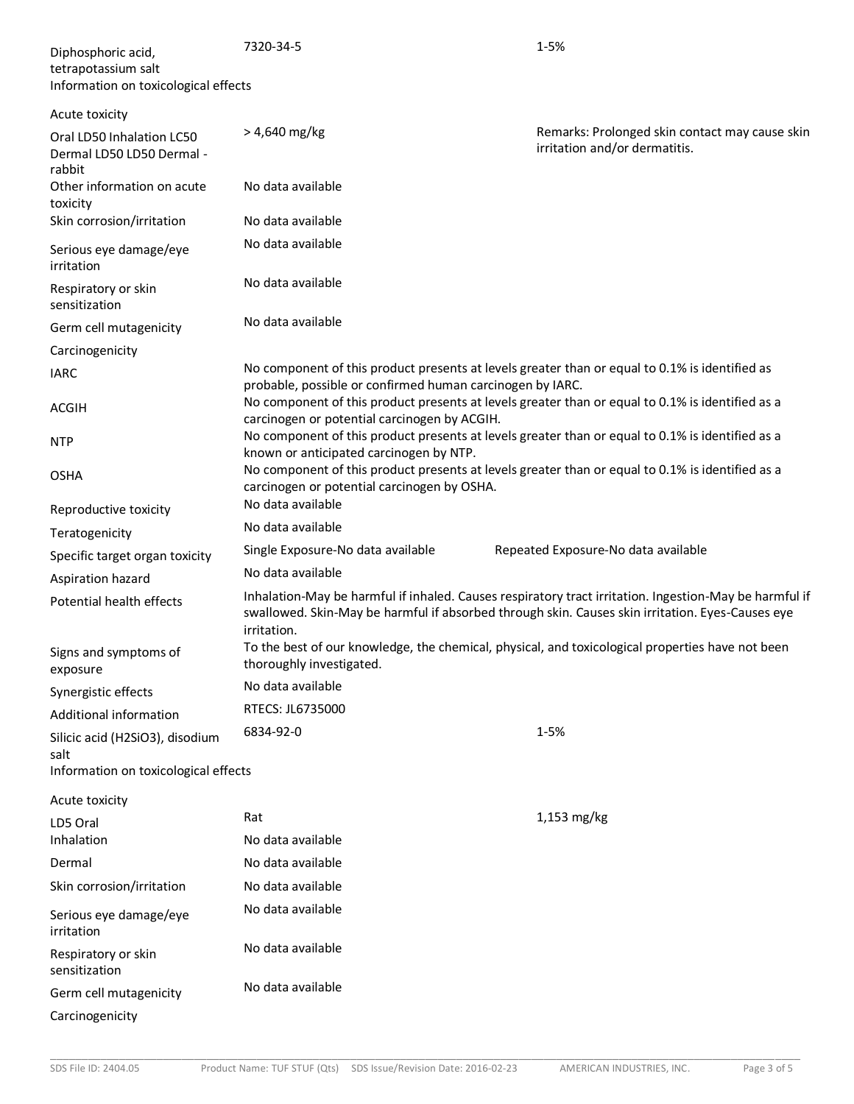| Diphosphoric acid,<br>tetrapotassium salt<br>Information on toxicological effects | 7320-34-5                                                                                                 | 1-5%                                                                                                                                                                                                       |
|-----------------------------------------------------------------------------------|-----------------------------------------------------------------------------------------------------------|------------------------------------------------------------------------------------------------------------------------------------------------------------------------------------------------------------|
| Acute toxicity                                                                    |                                                                                                           |                                                                                                                                                                                                            |
| Oral LD50 Inhalation LC50<br>Dermal LD50 LD50 Dermal -<br>rabbit                  | $> 4,640$ mg/kg                                                                                           | Remarks: Prolonged skin contact may cause skin<br>irritation and/or dermatitis.                                                                                                                            |
| Other information on acute<br>toxicity                                            | No data available                                                                                         |                                                                                                                                                                                                            |
| Skin corrosion/irritation                                                         | No data available                                                                                         |                                                                                                                                                                                                            |
| Serious eye damage/eye<br>irritation                                              | No data available                                                                                         |                                                                                                                                                                                                            |
| Respiratory or skin<br>sensitization                                              | No data available                                                                                         |                                                                                                                                                                                                            |
| Germ cell mutagenicity                                                            | No data available                                                                                         |                                                                                                                                                                                                            |
| Carcinogenicity                                                                   |                                                                                                           |                                                                                                                                                                                                            |
| <b>IARC</b>                                                                       |                                                                                                           | No component of this product presents at levels greater than or equal to 0.1% is identified as                                                                                                             |
| <b>ACGIH</b>                                                                      | probable, possible or confirmed human carcinogen by IARC.<br>carcinogen or potential carcinogen by ACGIH. | No component of this product presents at levels greater than or equal to 0.1% is identified as a                                                                                                           |
| <b>NTP</b>                                                                        | known or anticipated carcinogen by NTP.                                                                   | No component of this product presents at levels greater than or equal to 0.1% is identified as a                                                                                                           |
| <b>OSHA</b>                                                                       | carcinogen or potential carcinogen by OSHA.                                                               | No component of this product presents at levels greater than or equal to 0.1% is identified as a                                                                                                           |
| Reproductive toxicity                                                             | No data available                                                                                         |                                                                                                                                                                                                            |
| Teratogenicity                                                                    | No data available                                                                                         |                                                                                                                                                                                                            |
| Specific target organ toxicity                                                    | Single Exposure-No data available                                                                         | Repeated Exposure-No data available                                                                                                                                                                        |
| Aspiration hazard                                                                 | No data available                                                                                         |                                                                                                                                                                                                            |
| Potential health effects                                                          |                                                                                                           | Inhalation-May be harmful if inhaled. Causes respiratory tract irritation. Ingestion-May be harmful if<br>swallowed. Skin-May be harmful if absorbed through skin. Causes skin irritation. Eyes-Causes eye |
| Signs and symptoms of<br>exposure                                                 | irritation.<br>thoroughly investigated.                                                                   | To the best of our knowledge, the chemical, physical, and toxicological properties have not been                                                                                                           |
| Synergistic effects                                                               | No data available                                                                                         |                                                                                                                                                                                                            |
| Additional information                                                            | RTECS: JL6735000                                                                                          |                                                                                                                                                                                                            |
| Silicic acid (H2SiO3), disodium<br>salt                                           | 6834-92-0                                                                                                 | $1 - 5%$                                                                                                                                                                                                   |
| Information on toxicological effects                                              |                                                                                                           |                                                                                                                                                                                                            |
| Acute toxicity                                                                    |                                                                                                           |                                                                                                                                                                                                            |
| LD5 Oral                                                                          | Rat                                                                                                       | 1,153 mg/kg                                                                                                                                                                                                |
| Inhalation                                                                        | No data available                                                                                         |                                                                                                                                                                                                            |
| Dermal                                                                            | No data available                                                                                         |                                                                                                                                                                                                            |
| Skin corrosion/irritation                                                         | No data available                                                                                         |                                                                                                                                                                                                            |
| Serious eye damage/eye<br>irritation                                              | No data available                                                                                         |                                                                                                                                                                                                            |
| Respiratory or skin<br>sensitization                                              | No data available                                                                                         |                                                                                                                                                                                                            |
| Germ cell mutagenicity                                                            | No data available                                                                                         |                                                                                                                                                                                                            |
| Carcinogenicity                                                                   |                                                                                                           |                                                                                                                                                                                                            |

\_\_\_\_\_\_\_\_\_\_\_\_\_\_\_\_\_\_\_\_\_\_\_\_\_\_\_\_\_\_\_\_\_\_\_\_\_\_\_\_\_\_\_\_\_\_\_\_\_\_\_\_\_\_\_\_\_\_\_\_\_\_\_\_\_\_\_\_\_\_\_\_\_\_\_\_\_\_\_\_\_\_\_\_\_\_\_\_\_\_\_\_\_\_\_\_\_\_\_\_\_\_\_\_\_\_\_\_\_\_\_\_\_\_\_\_\_\_\_\_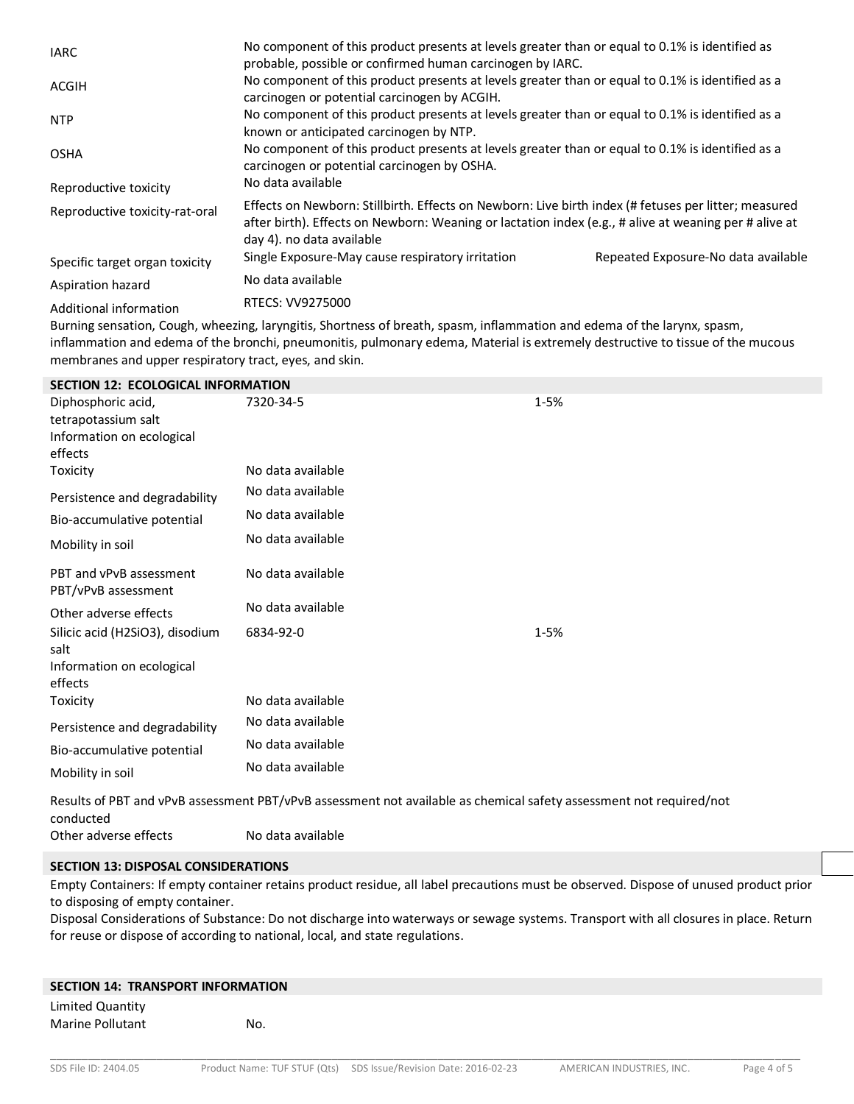| <b>IARC</b>                    | No component of this product presents at levels greater than or equal to 0.1% is identified as<br>probable, possible or confirmed human carcinogen by IARC.                                                                                |                                     |
|--------------------------------|--------------------------------------------------------------------------------------------------------------------------------------------------------------------------------------------------------------------------------------------|-------------------------------------|
| ACGIH                          | No component of this product presents at levels greater than or equal to 0.1% is identified as a<br>carcinogen or potential carcinogen by ACGIH.                                                                                           |                                     |
| <b>NTP</b>                     | No component of this product presents at levels greater than or equal to 0.1% is identified as a<br>known or anticipated carcinogen by NTP.                                                                                                |                                     |
| <b>OSHA</b>                    | No component of this product presents at levels greater than or equal to 0.1% is identified as a<br>carcinogen or potential carcinogen by OSHA.                                                                                            |                                     |
| Reproductive toxicity          | No data available                                                                                                                                                                                                                          |                                     |
| Reproductive toxicity-rat-oral | Effects on Newborn: Stillbirth. Effects on Newborn: Live birth index (# fetuses per litter; measured<br>after birth). Effects on Newborn: Weaning or lactation index (e.g., # alive at weaning per # alive at<br>day 4). no data available |                                     |
| Specific target organ toxicity | Single Exposure-May cause respiratory irritation                                                                                                                                                                                           | Repeated Exposure-No data available |
| Aspiration hazard              | No data available                                                                                                                                                                                                                          |                                     |
| Additional information         | RTECS: VV9275000                                                                                                                                                                                                                           |                                     |
|                                | Dupping sangating Caugh ukasaing lappatitis Chaptuses of broath species inflommation and selected of the lapper species                                                                                                                    |                                     |

Burning sensation, Cough, wheezing, laryngitis, Shortness of breath, spasm, inflammation and edema of the larynx, spasm, inflammation and edema of the bronchi, pneumonitis, pulmonary edema, Material is extremely destructive to tissue of the mucous membranes and upper respiratory tract, eyes, and skin.

| <b>SECTION 12: ECOLOGICAL INFORMATION</b>                                         |                   |                                                                                                                  |
|-----------------------------------------------------------------------------------|-------------------|------------------------------------------------------------------------------------------------------------------|
| Diphosphoric acid,<br>tetrapotassium salt<br>Information on ecological<br>effects | 7320-34-5         | $1 - 5%$                                                                                                         |
| Toxicity                                                                          | No data available |                                                                                                                  |
| Persistence and degradability                                                     | No data available |                                                                                                                  |
| Bio-accumulative potential                                                        | No data available |                                                                                                                  |
| Mobility in soil                                                                  | No data available |                                                                                                                  |
| PBT and vPvB assessment<br>PBT/vPvB assessment                                    | No data available |                                                                                                                  |
| Other adverse effects                                                             | No data available |                                                                                                                  |
| Silicic acid (H2SiO3), disodium<br>salt<br>Information on ecological<br>effects   | 6834-92-0         | $1 - 5%$                                                                                                         |
| Toxicity                                                                          | No data available |                                                                                                                  |
| Persistence and degradability                                                     | No data available |                                                                                                                  |
| Bio-accumulative potential                                                        | No data available |                                                                                                                  |
| Mobility in soil                                                                  | No data available |                                                                                                                  |
|                                                                                   |                   | Boculta of DPT and vPvP accorment DPT/vPvP accorment not available as chamical safety accorment not required/not |

Results of PBT and vPvB assessment PBT/vPvB assessment not available as chemical safety assessment not required/not conducted Other adverse effects No data available

# **SECTION 13: DISPOSAL CONSIDERATIONS**

Empty Containers: If empty container retains product residue, all label precautions must be observed. Dispose of unused product prior to disposing of empty container.

Disposal Considerations of Substance: Do not discharge into waterways or sewage systems. Transport with all closures in place. Return for reuse or dispose of according to national, local, and state regulations.

| <b>SECTION 14: TRANSPORT INFORMATION</b> |     |  |  |  |
|------------------------------------------|-----|--|--|--|
| Limited Quantity                         |     |  |  |  |
| Marine Pollutant                         | No. |  |  |  |
|                                          |     |  |  |  |